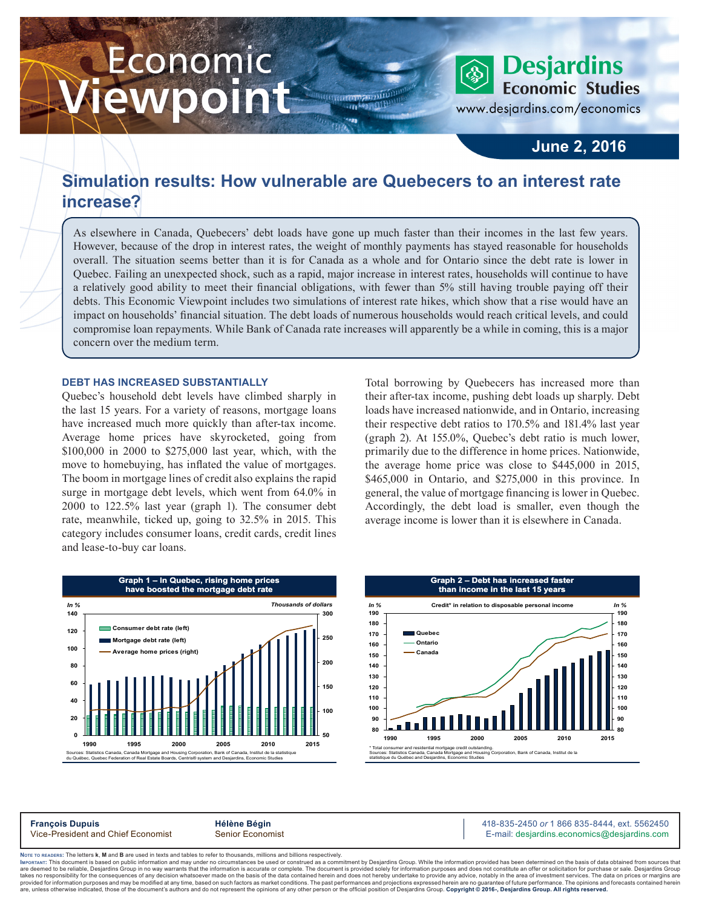# Economic ewpoint



www.desjardins.com/economics

### **June 2, 2016**

## **Simulation results: How vulnerable are Quebecers to an interest rate increase?**

**HIRTOGRAPHIA STARTILL** 

 $\cdots$ 

As elsewhere in Canada, Quebecers' debt loads have gone up much faster than their incomes in the last few years. However, because of the drop in interest rates, the weight of monthly payments has stayed reasonable for households overall. The situation seems better than it is for Canada as a whole and for Ontario since the debt rate is lower in Quebec. Failing an unexpected shock, such as a rapid, major increase in interest rates, households will continue to have a relatively good ability to meet their financial obligations, with fewer than 5% still having trouble paying off their debts. This Economic Viewpoint includes two simulations of interest rate hikes, which show that a rise would have an impact on households' financial situation. The debt loads of numerous households would reach critical levels, and could compromise loan repayments. While Bank of Canada rate increases will apparently be a while in coming, this is a major concern over the medium term.

#### **DEBT HAS INCREASED SUBSTANTIALLY**

Quebec's household debt levels have climbed sharply in the last 15 years. For a variety of reasons, mortgage loans have increased much more quickly than after-tax income. Average home prices have skyrocketed, going from \$100,000 in 2000 to \$275,000 last year, which, with the move to homebuying, has inflated the value of mortgages. The boom in mortgage lines of credit also explains the rapid surge in mortgage debt levels, which went from 64.0% in 2000 to 122.5% last year (graph 1). The consumer debt rate, meanwhile, ticked up, going to 32.5% in 2015. This category includes consumer loans, credit cards, credit lines and lease-to-buy car loans.

Total borrowing by Quebecers has increased more than their after-tax income, pushing debt loads up sharply. Debt loads have increased nationwide, and in Ontario, increasing their respective debt ratios to 170.5% and 181.4% last year (graph 2). At 155.0%, Quebec's debt ratio is much lower, primarily due to the difference in home prices. Nationwide, the average home price was close to \$445,000 in 2015, \$465,000 in Ontario, and \$275,000 in this province. In general, the value of mortgage financing is lower in Quebec. Accordingly, the debt load is smaller, even though the average income is lower than it is elsewhere in Canada.





**François Dupuis**<br>
Vice-President and Chief Economist **Alternative Bégin Alternative Community Community** 1986 835-8444, ext. 5562450<br>
Vice-President and Chief Economist Senior Economist **Alternative Community Community** E-mail: desjardins.economics@desjardins.com

Noте то келоекs: The letters **k, M** and **B** are used in texts and tables to refer to thousands, millions and billions respectively.<br>Імроктлит: This document is based on public information and may under no circumstances be are deemed to be reliable. Desiardins Group in no way warrants that the information is accurate or complete. The document is provided solely for information purposes and does not constitute an offer or solicitation for pur takes no responsibility for the consequences of any decision whatsoever made on the basis of the data contained herein and does not hereby undertake to provide any advice, notably in the area of investment services. The da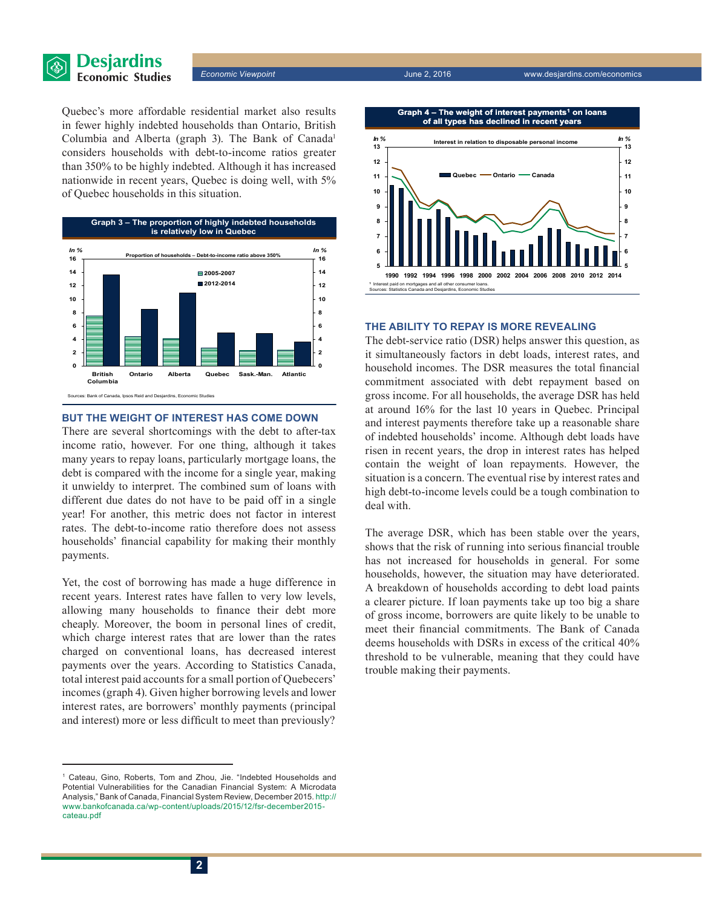

Quebec's more affordable residential market also results in fewer highly indebted households than Ontario, British Columbia and Alberta (graph 3). The Bank of Canada<sup>1</sup> considers households with debt-to-income ratios greater than 350% to be highly indebted. Although it has increased nationwide in recent years, Quebec is doing well, with 5% of Quebec households in this situation.



#### **BUT THE WEIGHT OF INTEREST HAS COME DOWN**

There are several shortcomings with the debt to after-tax income ratio, however. For one thing, although it takes many years to repay loans, particularly mortgage loans, the debt is compared with the income for a single year, making it unwieldy to interpret. The combined sum of loans with different due dates do not have to be paid off in a single year! For another, this metric does not factor in interest rates. The debt-to-income ratio therefore does not assess households' financial capability for making their monthly payments.

Yet, the cost of borrowing has made a huge difference in recent years. Interest rates have fallen to very low levels, allowing many households to finance their debt more cheaply. Moreover, the boom in personal lines of credit, which charge interest rates that are lower than the rates charged on conventional loans, has decreased interest payments over the years. According to Statistics Canada, total interest paid accounts for a small portion of Quebecers' incomes (graph 4). Given higher borrowing levels and lower interest rates, are borrowers' monthly payments (principal and interest) more or less difficult to meet than previously?





#### **THE ABILITY TO REPAY IS MORE REVEALING**

The debt-service ratio (DSR) helps answer this question, as it simultaneously factors in debt loads, interest rates, and household incomes. The DSR measures the total financial commitment associated with debt repayment based on gross income. For all households, the average DSR has held at around 16% for the last 10 years in Quebec. Principal and interest payments therefore take up a reasonable share of indebted households' income. Although debt loads have risen in recent years, the drop in interest rates has helped contain the weight of loan repayments. However, the situation is a concern. The eventual rise by interest rates and high debt-to-income levels could be a tough combination to deal with.

The average DSR, which has been stable over the years, shows that the risk of running into serious financial trouble has not increased for households in general. For some households, however, the situation may have deteriorated. A breakdown of households according to debt load paints a clearer picture. If loan payments take up too big a share of gross income, borrowers are quite likely to be unable to meet their financial commitments. The Bank of Canada deems households with DSRs in excess of the critical 40% threshold to be vulnerable, meaning that they could have trouble making their payments.

<sup>1</sup> Cateau, Gino, Roberts, Tom and Zhou, Jie. "Indebted Households and Potential Vulnerabilities for the Canadian Financial System: A Microdata Analysis," Bank of Canada, Financial System Review, December 2015. http:// [www.bankofcanada.ca/wp-content/uploads/2015/12/fsr-december2015](http://www.bankofcanada.ca/wp-content/uploads/2015/12/fsr-december2015-cateau.pdf) [cateau.pdf](http://www.bankofcanada.ca/wp-content/uploads/2015/12/fsr-december2015-cateau.pdf)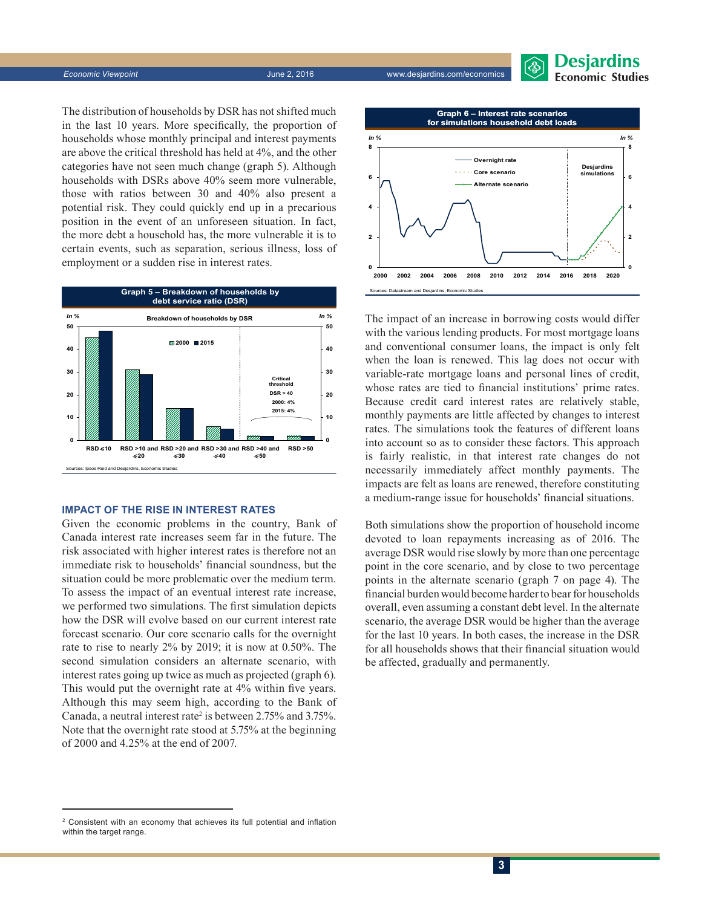

*Economic Viewpoint* June 2, 2016 www.desjardins.com/economics



The distribution of households by DSR has not shifted much in the last 10 years. More specifically, the proportion of households whose monthly principal and interest payments are above the critical threshold has held at 4%, and the other categories have not seen much change (graph 5). Although households with DSRs above 40% seem more vulnerable, those with ratios between 30 and 40% also present a potential risk. They could quickly end up in a precarious position in the event of an unforeseen situation. In fact, the more debt a household has, the more vulnerable it is to certain events, such as separation, serious illness, loss of employment or a sudden rise in interest rates.



#### **IMPACT OF THE RISE IN INTEREST RATES**

Given the economic problems in the country, Bank of Canada interest rate increases seem far in the future. The risk associated with higher interest rates is therefore not an immediate risk to households' financial soundness, but the situation could be more problematic over the medium term. To assess the impact of an eventual interest rate increase, we performed two simulations. The first simulation depicts how the DSR will evolve based on our current interest rate forecast scenario. Our core scenario calls for the overnight rate to rise to nearly 2% by 2019; it is now at 0.50%. The second simulation considers an alternate scenario, with interest rates going up twice as much as projected (graph 6). This would put the overnight rate at 4% within five years. Although this may seem high, according to the Bank of Canada, a neutral interest rate<sup>2</sup> is between 2.75% and 3.75%. Note that the overnight rate stood at 5.75% at the beginning of 2000 and 4.25% at the end of 2007.



The impact of an increase in borrowing costs would differ with the various lending products. For most mortgage loans and conventional consumer loans, the impact is only felt when the loan is renewed. This lag does not occur with variable-rate mortgage loans and personal lines of credit, whose rates are tied to financial institutions' prime rates. Because credit card interest rates are relatively stable, monthly payments are little affected by changes to interest rates. The simulations took the features of different loans into account so as to consider these factors. This approach is fairly realistic, in that interest rate changes do not necessarily immediately affect monthly payments. The impacts are felt as loans are renewed, therefore constituting a medium-range issue for households' financial situations.

Both simulations show the proportion of household income devoted to loan repayments increasing as of 2016. The average DSR would rise slowly by more than one percentage point in the core scenario, and by close to two percentage points in the alternate scenario (graph 7 on page 4). The financial burden would become harder to bear for households overall, even assuming a constant debt level. In the alternate scenario, the average DSR would be higher than the average for the last 10 years. In both cases, the increase in the DSR for all households shows that their financial situation would be affected, gradually and permanently.

<sup>2</sup> Consistent with an economy that achieves its full potential and inflation within the target range.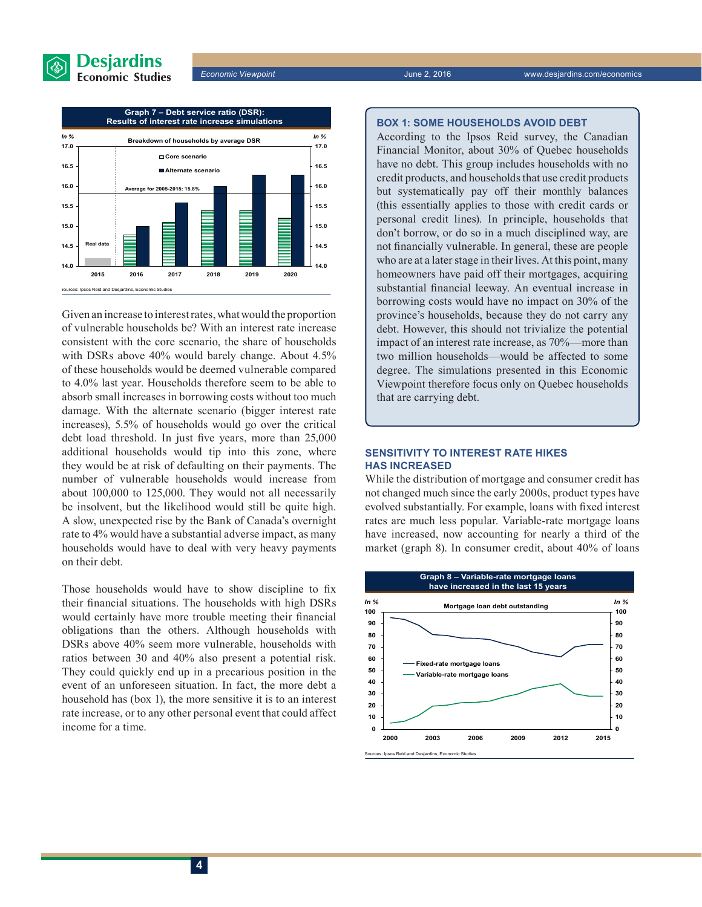



Given an increase to interest rates, what would the proportion of vulnerable households be? With an interest rate increase consistent with the core scenario, the share of households with DSRs above 40% would barely change. About 4.5% of these households would be deemed vulnerable compared to 4.0% last year. Households therefore seem to be able to absorb small increases in borrowing costs without too much damage. With the alternate scenario (bigger interest rate increases), 5.5% of households would go over the critical debt load threshold. In just five years, more than 25,000 additional households would tip into this zone, where they would be at risk of defaulting on their payments. The number of vulnerable households would increase from about 100,000 to 125,000. They would not all necessarily be insolvent, but the likelihood would still be quite high. A slow, unexpected rise by the Bank of Canada's overnight rate to 4% would have a substantial adverse impact, as many households would have to deal with very heavy payments on their debt.

Those households would have to show discipline to fix their financial situations. The households with high DSRs would certainly have more trouble meeting their financial obligations than the others. Although households with DSRs above 40% seem more vulnerable, households with ratios between 30 and 40% also present a potential risk. They could quickly end up in a precarious position in the event of an unforeseen situation. In fact, the more debt a household has (box 1), the more sensitive it is to an interest rate increase, or to any other personal event that could affect income for a time.

#### **BOX 1: SOME HOUSEHOLDS AVOID DEBT**

According to the Ipsos Reid survey, the Canadian Financial Monitor, about 30% of Quebec households have no debt. This group includes households with no credit products, and households that use credit products but systematically pay off their monthly balances (this essentially applies to those with credit cards or personal credit lines). In principle, households that don't borrow, or do so in a much disciplined way, are not financially vulnerable. In general, these are people who are at a later stage in their lives. At this point, many homeowners have paid off their mortgages, acquiring substantial financial leeway. An eventual increase in borrowing costs would have no impact on 30% of the province's households, because they do not carry any debt. However, this should not trivialize the potential impact of an interest rate increase, as 70%—more than two million households—would be affected to some degree. The simulations presented in this Economic Viewpoint therefore focus only on Quebec households that are carrying debt.

#### **SENSITIVITY TO INTEREST RATE HIKES HAS INCREASED**

While the distribution of mortgage and consumer credit has not changed much since the early 2000s, product types have evolved substantially. For example, loans with fixed interest rates are much less popular. Variable-rate mortgage loans have increased, now accounting for nearly a third of the market (graph 8). In consumer credit, about 40% of loans